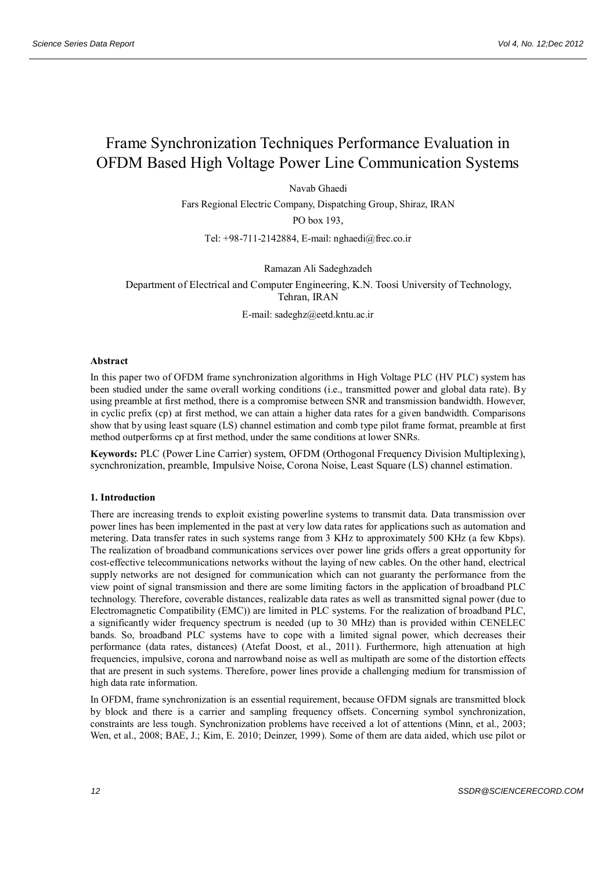# Frame Synchronization Techniques Performance Evaluation in OFDM Based High Voltage Power Line Communication Systems

Navab Ghaedi

Fars Regional Electric Company, Dispatching Group, Shiraz, IRAN PO box 193,

Tel: +98-711-2142884, E-mail: nghaedi@frec.co.ir

## Ramazan Ali Sadeghzadeh

Department of Electrical and Computer Engineering, K.N. Toosi University of Technology, Tehran, IRAN

E-mail: sadeghz@eetd.kntu.ac.ir

## **Abstract**

In this paper two of OFDM frame synchronization algorithms in High Voltage PLC (HV PLC) system has been studied under the same overall working conditions (i.e., transmitted power and global data rate). By using preamble at first method, there is a compromise between SNR and transmission bandwidth. However, in cyclic prefix (cp) at first method, we can attain a higher data rates for a given bandwidth. Comparisons show that by using least square (LS) channel estimation and comb type pilot frame format, preamble at first method outperforms cp at first method, under the same conditions at lower SNRs.

**Keywords:** PLC (Power Line Carrier) system, OFDM (Orthogonal Frequency Division Multiplexing), sycnchronization, preamble, Impulsive Noise, Corona Noise, Least Square (LS) channel estimation.

## **1. Introduction**

There are increasing trends to exploit existing powerline systems to transmit data. Data transmission over power lines has been implemented in the past at very low data rates for applications such as automation and metering. Data transfer rates in such systems range from 3 KHz to approximately 500 KHz (a few Kbps). The realization of broadband communications services over power line grids offers a great opportunity for cost-effective telecommunications networks without the laying of new cables. On the other hand, electrical supply networks are not designed for communication which can not guaranty the performance from the view point of signal transmission and there are some limiting factors in the application of broadband PLC technology. Therefore, coverable distances, realizable data rates as well as transmitted signal power (due to Electromagnetic Compatibility (EMC)) are limited in PLC systems. For the realization of broadband PLC, a significantly wider frequency spectrum is needed (up to 30 MHz) than is provided within CENELEC bands. So, broadband PLC systems have to cope with a limited signal power, which decreases their performance (data rates, distances) (Atefat Doost, et al., 2011). Furthermore, high attenuation at high frequencies, impulsive, corona and narrowband noise as well as multipath are some of the distortion effects that are present in such systems. Therefore, power lines provide a challenging medium for transmission of high data rate information.

In OFDM, frame synchronization is an essential requirement, because OFDM signals are transmitted block by block and there is a carrier and sampling frequency offsets. Concerning symbol synchronization, constraints are less tough. Synchronization problems have received a lot of attentions (Minn, et al., 2003; Wen, et al., 2008; BAE, J.; Kim, E. 2010; Deinzer, 1999). Some of them are data aided, which use pilot or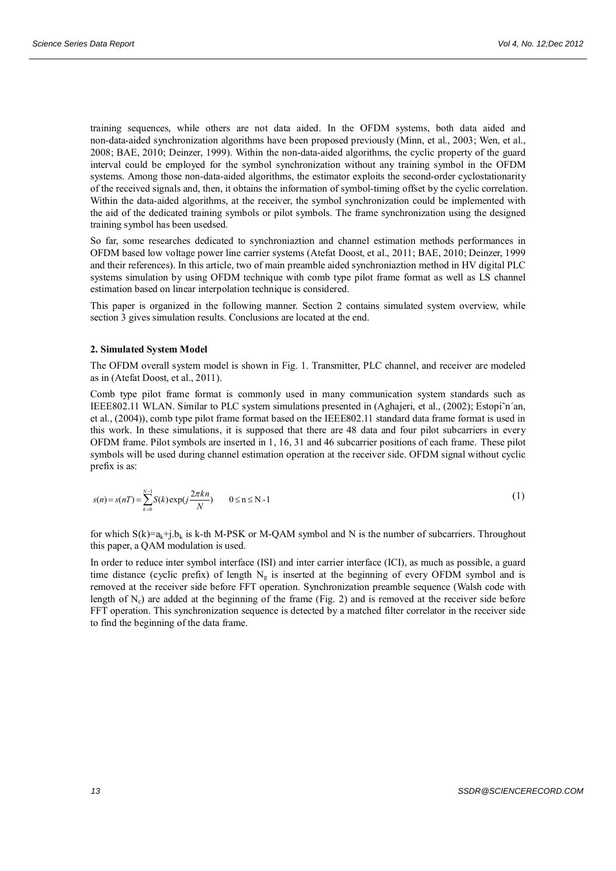training sequences, while others are not data aided. In the OFDM systems, both data aided and non-data-aided synchronization algorithms have been proposed previously (Minn, et al., 2003; Wen, et al., 2008; BAE, 2010; Deinzer, 1999). Within the non-data-aided algorithms, the cyclic property of the guard interval could be employed for the symbol synchronization without any training symbol in the OFDM systems. Among those non-data-aided algorithms, the estimator exploits the second-order cyclostationarity of the received signals and, then, it obtains the information of symbol-timing offset by the cyclic correlation. Within the data-aided algorithms, at the receiver, the symbol synchronization could be implemented with the aid of the dedicated training symbols or pilot symbols. The frame synchronization using the designed training symbol has been usedsed.

So far, some researches dedicated to synchroniaztion and channel estimation methods performances in OFDM based low voltage power line carrier systems (Atefat Doost, et al., 2011; BAE, 2010; Deinzer, 1999 and their references). In this article, two of main preamble aided synchroniaztion method in HV digital PLC systems simulation by using OFDM technique with comb type pilot frame format as well as LS channel estimation based on linear interpolation technique is considered.

This paper is organized in the following manner. Section 2 contains simulated system overview, while section 3 gives simulation results. Conclusions are located at the end.

#### **2. Simulated System Model**

The OFDM overall system model is shown in Fig. 1. Transmitter, PLC channel, and receiver are modeled as in (Atefat Doost, et al., 2011).

Comb type pilot frame format is commonly used in many communication system standards such as IEEE802.11 WLAN. Similar to PLC system simulations presented in (Aghajeri, et al., (2002); Estopi˜n´an, et al., (2004)), comb type pilot frame format based on the IEEE802.11 standard data frame format is used in this work. In these simulations, it is supposed that there are 48 data and four pilot subcarriers in every OFDM frame. Pilot symbols are inserted in 1, 16, 31 and 46 subcarrier positions of each frame. These pilot symbols will be used during channel estimation operation at the receiver side. OFDM signal without cyclic prefix is as:

$$
s(n) = s(nT) = \sum_{k=0}^{N-1} S(k) \exp(j\frac{2\pi kn}{N}) \qquad 0 \le n \le N-1
$$
 (1)

for which  $S(k)=a_k+j.b_k$  is k-th M-PSK or M-QAM symbol and N is the number of subcarriers. Throughout this paper, a QAM modulation is used.

In order to reduce inter symbol interface (ISI) and inter carrier interface (ICI), as much as possible, a guard time distance (cyclic prefix) of length  $N_g$  is inserted at the beginning of every OFDM symbol and is removed at the receiver side before FFT operation. Synchronization preamble sequence (Walsh code with length of  $N_c$ ) are added at the beginning of the frame (Fig. 2) and is removed at the receiver side before FFT operation. This synchronization sequence is detected by a matched filter correlator in the receiver side to find the beginning of the data frame.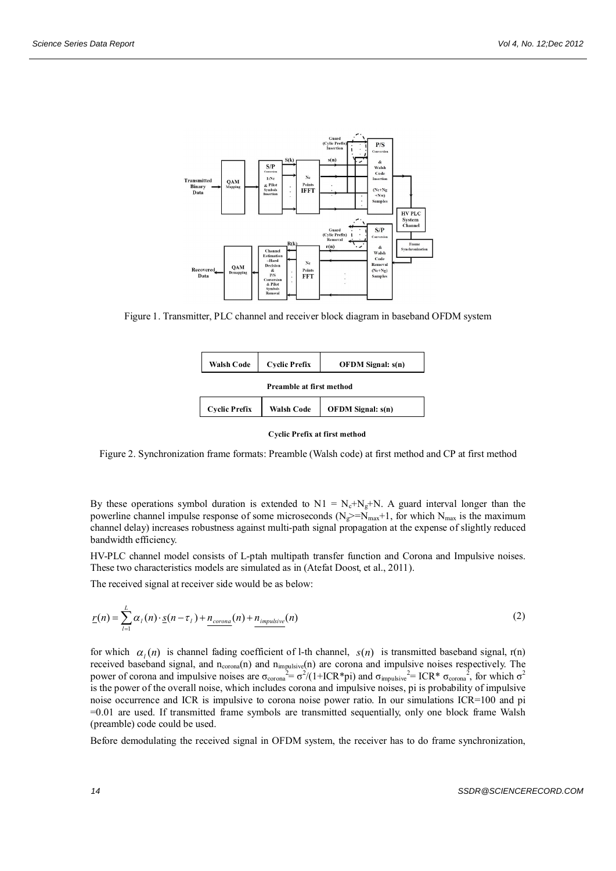

Figure 1. Transmitter, PLC channel and receiver block diagram in baseband OFDM system



**Cyclic Prefix at first method**

Figure 2. Synchronization frame formats: Preamble (Walsh code) at first method and CP at first method

By these operations symbol duration is extended to  $N1 = N_c + N_g + N$ . A guard interval longer than the powerline channel impulse response of some microseconds ( $N_g$ >= $N_{max}+1$ , for which  $N_{max}$  is the maximum channel delay) increases robustness against multi-path signal propagation at the expense of slightly reduced bandwidth efficiency.

HV-PLC channel model consists of L-ptah multipath transfer function and Corona and Impulsive noises. These two characteristics models are simulated as in (Atefat Doost, et al., 2011).

The received signal at receiver side would be as below:

$$
\underline{r}(n) = \sum_{l=1}^{L} \alpha_l(n) \cdot \underline{s}(n - \tau_l) + \underline{n_{corona}}(n) + \underline{n_{impulsive}}(n)
$$
\n(2)

for which  $\alpha_l(n)$  is channel fading coefficient of l-th channel,  $s(n)$  is transmitted baseband signal, r(n) received baseband signal, and  $n_{corona}(n)$  and  $n_{impulsive}(n)$  are corona and impulsive noises respectively. The power of corona and impulsive noises are  $\sigma_{\text{corona}}^2 = \sigma^2/(1+ICR*pi)$  and  $\sigma_{\text{impulsive}}^2 = ICR* \sigma_{\text{corona}}^2$ , for which  $\sigma^2$ is the power of the overall noise, which includes corona and impulsive noises, pi is probability of impulsive noise occurrence and ICR is impulsive to corona noise power ratio. In our simulations ICR=100 and pi =0.01 are used. If transmitted frame symbols are transmitted sequentially, only one block frame Walsh (preamble) code could be used.

Before demodulating the received signal in OFDM system, the receiver has to do frame synchronization,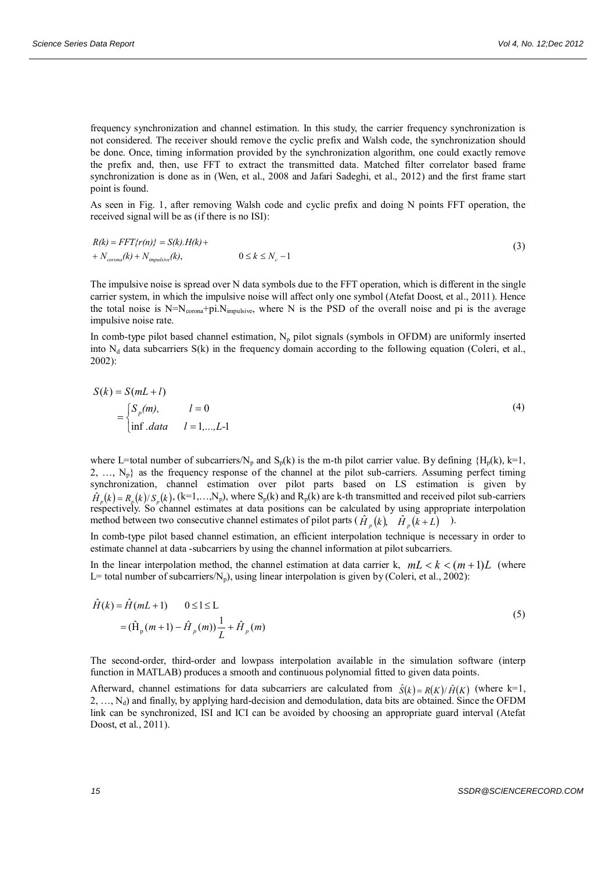frequency synchronization and channel estimation. In this study, the carrier frequency synchronization is not considered. The receiver should remove the cyclic prefix and Walsh code, the synchronization should be done. Once, timing information provided by the synchronization algorithm, one could exactly remove the prefix and, then, use FFT to extract the transmitted data. Matched filter correlator based frame synchronization is done as in (Wen, et al., 2008 and Jafari Sadeghi, et al., 2012) and the first frame start point is found.

As seen in Fig. 1, after removing Walsh code and cyclic prefix and doing N points FFT operation, the received signal will be as (if there is no ISI):

$$
R(k) = FFT\{r(n)\} = S(k).H(k) ++ N_{corona}(k) + N_{impulsive}(k), \qquad 0 \le k \le N_c - 1
$$
\n(3)

The impulsive noise is spread over N data symbols due to the FFT operation, which is different in the single carrier system, in which the impulsive noise will affect only one symbol (Atefat Doost, et al., 2011). Hence the total noise is  $N=N_{\text{corona}}+pi.N_{\text{impulsive}}$ , where N is the PSD of the overall noise and pi is the average impulsive noise rate.

In comb-type pilot based channel estimation,  $N_p$  pilot signals (symbols in OFDM) are uniformly inserted into  $N_d$  data subcarriers  $S(k)$  in the frequency domain according to the following equation (Coleri, et al., 2002):

$$
S(k) = S(mL + l)
$$
  
= 
$$
\begin{cases} S_p(m), & l = 0 \\ \inf . data & l = 1,...,L-1 \end{cases}
$$
 (4)

where L=total number of subcarriers/N<sub>p</sub> and S<sub>p</sub>(k) is the m-th pilot carrier value. By defining  ${H_p(k), k=1,}$ 2,  $..., N_p$  as the frequency response of the channel at the pilot sub-carriers. Assuming perfect timing synchronization, channel estimation over pilot parts based on LS estimation is given by  $\hat{H}_p(k) = R_p(k)/S_p(k)$ ,  $(k=1,...,N_p)$ , where  $S_p(k)$  and  $R_p(k)$  are k-th transmitted and received pilot sub-carriers respectively. So channel estimates at data positions can be calculated by using appropriate interpolation method between two consecutive channel estimates of pilot parts  $(\hat{H}_p(k), \hat{H}_p(k+L))$ .

In comb-type pilot based channel estimation, an efficient interpolation technique is necessary in order to estimate channel at data -subcarriers by using the channel information at pilot subcarriers.

In the linear interpolation method, the channel estimation at data carrier k,  $mL < k < (m+1)L$  (where L= total number of subcarriers/ $N_p$ ), using linear interpolation is given by (Coleri, et al., 2002):

$$
\hat{H}(k) = \hat{H}(mL + 1) \qquad 0 \le l \le L
$$
\n
$$
= (\hat{H}_p(m + 1) - \hat{H}_p(m)) \frac{1}{L} + \hat{H}_p(m)
$$
\n(5)

The second-order, third-order and lowpass interpolation available in the simulation software (interp function in MATLAB) produces a smooth and continuous polynomial fitted to given data points.

Afterward, channel estimations for data subcarriers are calculated from  $\hat{S}(k) = R(K)/\hat{H}(K)$  (where k=1,  $2, \ldots, N_d$ ) and finally, by applying hard-decision and demodulation, data bits are obtained. Since the OFDM link can be synchronized, ISI and ICI can be avoided by choosing an appropriate guard interval (Atefat Doost, et al., 2011).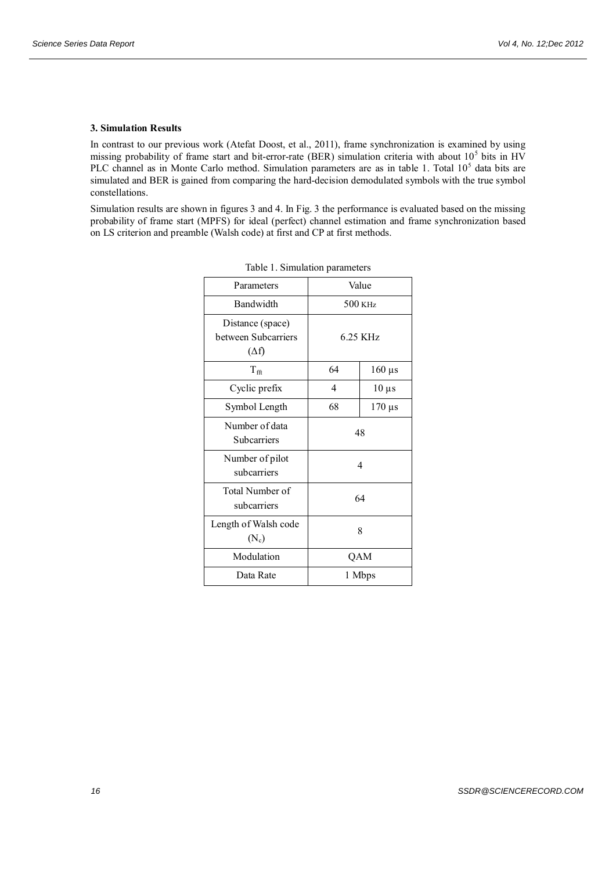## **3. Simulation Results**

In contrast to our previous work (Atefat Doost, et al., 2011), frame synchronization is examined by using missing probability of frame start and bit-error-rate (BER) simulation criteria with about  $10<sup>5</sup>$  bits in HV PLC channel as in Monte Carlo method. Simulation parameters are as in table 1. Total 10<sup>5</sup> data bits are simulated and BER is gained from comparing the hard-decision demodulated symbols with the true symbol constellations.

Simulation results are shown in figures 3 and 4. In Fig. 3 the performance is evaluated based on the missing probability of frame start (MPFS) for ideal (perfect) channel estimation and frame synchronization based on LS criterion and preamble (Walsh code) at first and CP at first methods.

| Parameters                                              | Value     |               |
|---------------------------------------------------------|-----------|---------------|
| Bandwidth                                               | $500$ KHz |               |
| Distance (space)<br>between Subcarriers<br>$(\Delta f)$ | 6.25 KHz  |               |
| $T_{\text{fft}}$                                        | 64        | $160 \,\mu s$ |
| Cyclic prefix                                           | 4         | $10 \mu s$    |
| Symbol Length                                           | 68        | $170 \,\mu s$ |
| Number of data<br><b>Subcarriers</b>                    | 48        |               |
| Number of pilot<br>subcarriers                          | 4         |               |
| Total Number of<br>subcarriers                          | 64        |               |
| Length of Walsh code<br>$(N_c)$                         | 8         |               |
| Modulation                                              | QAM       |               |
| Data Rate                                               | 1 Mbps    |               |

Table 1. Simulation parameters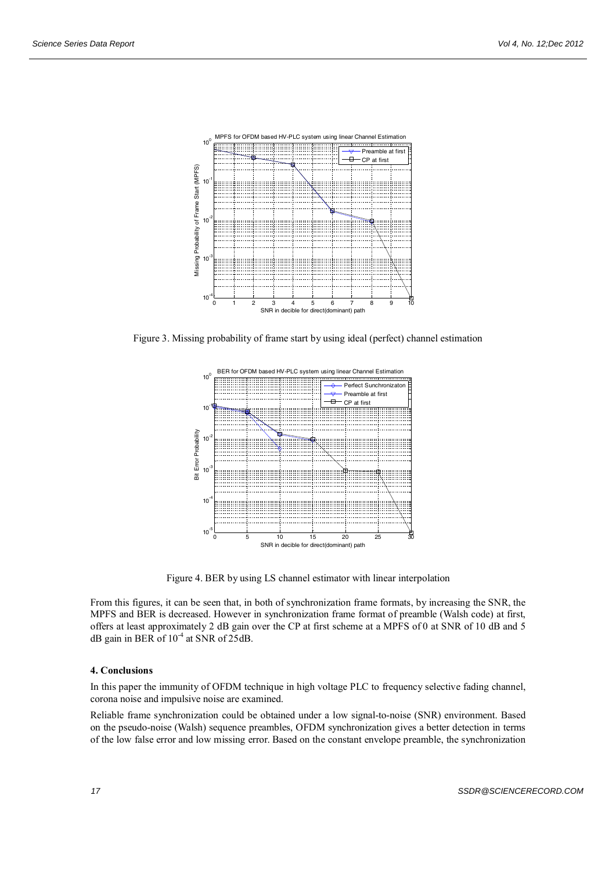

Figure 3. Missing probability of frame start by using ideal (perfect) channel estimation



Figure 4. BER by using LS channel estimator with linear interpolation

From this figures, it can be seen that, in both of synchronization frame formats, by increasing the SNR, the MPFS and BER is decreased. However in synchronization frame format of preamble (Walsh code) at first, offers at least approximately 2 dB gain over the CP at first scheme at a MPFS of 0 at SNR of 10 dB and 5  $dB$  gain in BER of  $10^{-4}$  at SNR of 25dB.

### **4. Conclusions**

In this paper the immunity of OFDM technique in high voltage PLC to frequency selective fading channel, corona noise and impulsive noise are examined.

Reliable frame synchronization could be obtained under a low signal-to-noise (SNR) environment. Based on the pseudo-noise (Walsh) sequence preambles, OFDM synchronization gives a better detection in terms of the low false error and low missing error. Based on the constant envelope preamble, the synchronization